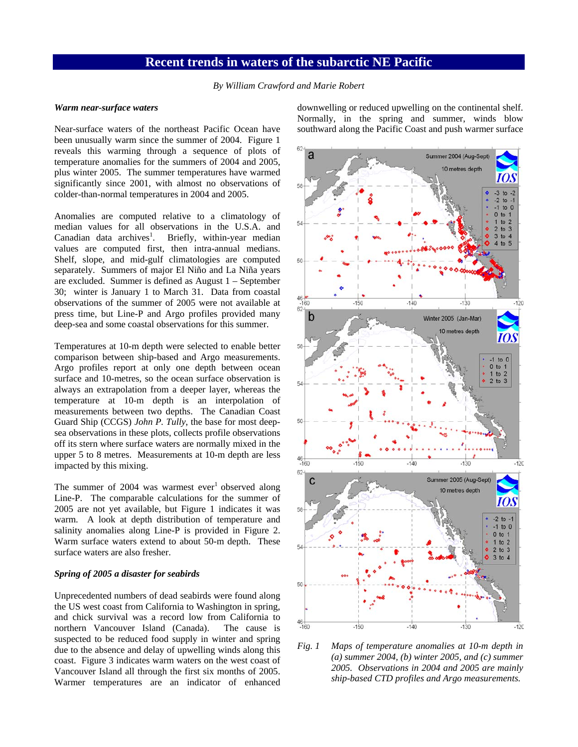## **Recent trends in waters of the subarctic NE Pacific**

*By William Crawford and Marie Robert* 

## *Warm near-surface waters*

Near-surface waters of the northeast Pacific Ocean have been unusually warm since the summer of 2004. Figure 1 reveals this warming through a sequence of plots of temperature anomalies for the summers of 2004 and 2005, plus winter 2005. The summer temperatures have warmed significantly since 2001, with almost no observations of colder-than-normal temperatures in 2004 and 2005.

Anomalies are computed relative to a climatology of median values for all observations in the U.S.A. and Canadian data archives<sup>1</sup>. Briefly, within-year median values are computed first, then intra-annual medians. Shelf, slope, and mid-gulf climatologies are computed separately. Summers of major El Niño and La Niña years are excluded. Summer is defined as August 1 – September 30; winter is January 1 to March 31. Data from coastal observations of the summer of 2005 were not available at press time, but Line-P and Argo profiles provided many deep-sea and some coastal observations for this summer.

Temperatures at 10-m depth were selected to enable better comparison between ship-based and Argo measurements. Argo profiles report at only one depth between ocean surface and 10-metres, so the ocean surface observation is always an extrapolation from a deeper layer, whereas the temperature at 10-m depth is an interpolation of measurements between two depths. The Canadian Coast Guard Ship (CCGS) *John P. Tully*, the base for most deepsea observations in these plots, collects profile observations off its stern where surface waters are normally mixed in the upper 5 to 8 metres. Measurements at 10-m depth are less impacted by this mixing.

The summer of 2004 was warmest ever<sup>1</sup> observed along Line-P. The comparable calculations for the summer of 2005 are not yet available, but Figure 1 indicates it was warm. A look at depth distribution of temperature and salinity anomalies along Line-P is provided in Figure 2. Warm surface waters extend to about 50-m depth. These surface waters are also fresher.

## *Spring of 2005 a disaster for seabirds*

Unprecedented numbers of dead seabirds were found along the US west coast from California to Washington in spring, and chick survival was a record low from California to northern Vancouver Island (Canada). The cause is suspected to be reduced food supply in winter and spring due to the absence and delay of upwelling winds along this coast. Figure 3 indicates warm waters on the west coast of Vancouver Island all through the first six months of 2005. Warmer temperatures are an indicator of enhanced

downwelling or reduced upwelling on the continental shelf. Normally, in the spring and summer, winds blow southward along the Pacific Coast and push warmer surface



*Fig. 1 Maps of temperature anomalies at 10-m depth in (a) summer 2004, (b) winter 2005, and (c) summer 2005. Observations in 2004 and 2005 are mainly ship-based CTD profiles and Argo measurements.*